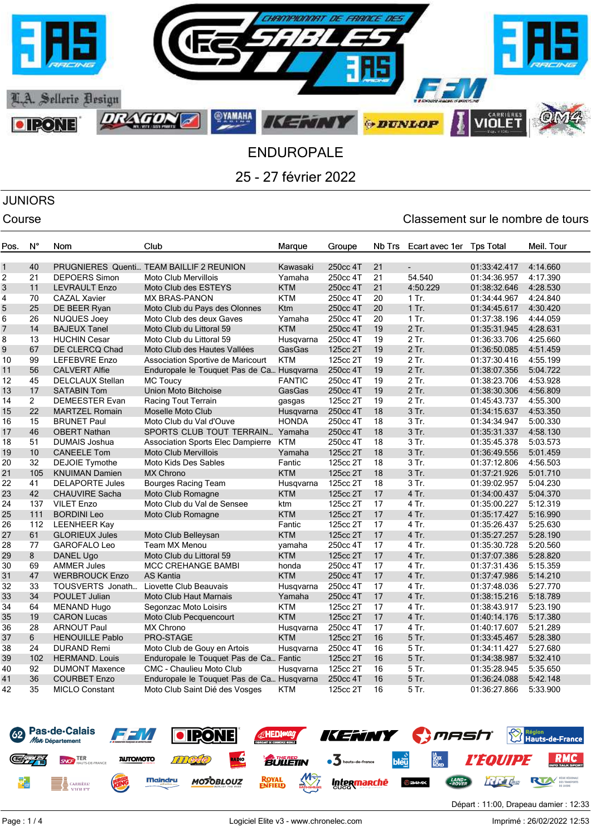

# JUNIORS

## Course Course Course Course Course Course Course Course Course Course Course Course Course Course Course Cours

| Pos.           | $N^{\circ}$    | Nom                     | Club                                      | Marque        | Groupe   | Nb Trs | Ecart avec 1er | <b>Tps Total</b> | Meil. Tour |
|----------------|----------------|-------------------------|-------------------------------------------|---------------|----------|--------|----------------|------------------|------------|
|                |                |                         |                                           |               |          |        |                |                  |            |
| 1              | 40             |                         | PRUGNIERES Quenti TEAM BAILLIF 2 REUNION  | Kawasaki      | 250cc 4T | 21     | ÷.             | 01:33:42.417     | 4:14.660   |
| $\overline{c}$ | 21             | <b>DEPOERS Simon</b>    | <b>Moto Club Mervillois</b>               | Yamaha        | 250cc 4T | 21     | 54.540         | 01:34:36.957     | 4:17.390   |
| 3              | 11             | <b>LEVRAULT Enzo</b>    | Moto Club des ESTEYS                      | <b>KTM</b>    | 250cc 4T | 21     | 4:50.229       | 01:38:32.646     | 4:28.530   |
| 4              | 70             | <b>CAZAL Xavier</b>     | <b>MX BRAS-PANON</b>                      | <b>KTM</b>    | 250cc 4T | 20     | $1$ Tr.        | 01:34:44.967     | 4:24.840   |
| 5              | 25             | DE BEER Ryan            | Moto Club du Pays des Olonnes             | Ktm           | 250cc 4T | 20     | 1 Tr.          | 01:34:45.617     | 4:30.420   |
| 6              | 26             | <b>NUQUES Joey</b>      | Moto Club des deux Gaves                  | Yamaha        | 250cc 4T | 20     | $1$ Tr.        | 01:37:38.196     | 4:44.059   |
| 7              | 14             | <b>BAJEUX Tanel</b>     | Moto Club du Littoral 59                  | <b>KTM</b>    | 250cc 4T | 19     | 2 Tr.          | 01:35:31.945     | 4:28.631   |
| 8              | 13             | <b>HUCHIN Cesar</b>     | Moto Club du Littoral 59                  | Husqvarna     | 250cc 4T | 19     | 2 Tr.          | 01:36:33.706     | 4:25.660   |
| 9              | 67             | DE CLERCQ Chad          | Moto Club des Hautes Vallées              | GasGas        | 125cc 2T | 19     | 2 Tr.          | 01:36:50.085     | 4:51.459   |
| 10             | 99             | <b>LEFEBVRE Enzo</b>    | Association Sportive de Maricourt         | <b>KTM</b>    | 125cc 2T | 19     | 2 Tr.          | 01:37:30.416     | 4:55.199   |
| 11             | 56             | <b>CALVERT Alfie</b>    | Enduropale le Touquet Pas de Ca Husqvarna |               | 250cc 4T | 19     | 2 Tr.          | 01:38:07.356     | 5:04.722   |
| 12             | 45             | <b>DELCLAUX Stellan</b> | <b>MC Toucy</b>                           | <b>FANTIC</b> | 250cc 4T | 19     | $2$ Tr.        | 01:38:23.706     | 4:53.928   |
| 13             | 17             | <b>SATABIN Tom</b>      | Union Moto Bitchoise                      | GasGas        | 250cc 4T | 19     | 2 Tr.          | 01:38:30.306     | 4:56.809   |
| 14             | $\overline{2}$ | DEMEESTER Evan          | Racing Tout Terrain                       | gasgas        | 125cc 2T | 19     | 2 Tr.          | 01:45:43.737     | 4:55.300   |
| 15             | 22             | <b>MARTZEL Romain</b>   | Moselle Moto Club                         | Husqvarna     | 250cc 4T | 18     | 3 Tr.          | 01:34:15.637     | 4:53.350   |
| 16             | 15             | <b>BRUNET Paul</b>      | Moto Club du Val d'Ouve                   | <b>HONDA</b>  | 250cc 4T | 18     | 3 Tr.          | 01:34:34.947     | 5:00.330   |
| 17             | 46             | <b>OBERT Nathan</b>     | SPORTS CLUB TOUT TERRAIN Yamaha           |               | 250cc 4T | 18     | 3 Tr.          | 01:35:31.337     | 4:58.130   |
| 18             | 51             | <b>DUMAIS Joshua</b>    | Association Sports Elec Dampierre KTM     |               | 250cc 4T | 18     | 3 Tr.          | 01:35:45.378     | 5:03.573   |
| 19             | 10             | <b>CANEELE Tom</b>      | <b>Moto Club Mervillois</b>               | Yamaha        | 125cc 2T | 18     | 3 Tr.          | 01:36:49.556     | 5:01.459   |
| 20             | 32             | <b>DEJOIE Tymothe</b>   | Moto Kids Des Sables                      | Fantic        | 125cc 2T | 18     | 3 Tr.          | 01:37:12.806     | 4:56.503   |
| 21             | 105            | <b>KNUIMAN Damien</b>   | MX Chrono                                 | <b>KTM</b>    | 125cc 2T | 18     | 3 Tr.          | 01:37:21.926     | 5:01.710   |
| 22             | 41             | <b>DELAPORTE Jules</b>  | <b>Bourges Racing Team</b>                | Husqvarna     | 125cc 2T | 18     | 3 Tr.          | 01:39:02.957     | 5:04.230   |
| 23             | 42             | <b>CHAUVIRE Sacha</b>   | Moto Club Romagne                         | <b>KTM</b>    | 125cc 2T | 17     | 4 Tr.          | 01:34:00.437     | 5:04.370   |
| 24             | 137            | <b>VILET Enzo</b>       | Moto Club du Val de Sensee                | ktm           | 125cc 2T | 17     | 4 Tr.          | 01:35:00.227     | 5:12.319   |
| 25             | 111            | <b>BORDINI Leo</b>      | Moto Club Romagne                         | <b>KTM</b>    | 125cc 2T | 17     | 4 Tr.          | 01:35:17.427     | 5:16.990   |
| 26             | 112            | <b>LEENHEER Kay</b>     |                                           | Fantic        | 125cc 2T | 17     | 4 Tr.          | 01:35:26.437     | 5:25.630   |
| 27             | 61             | <b>GLORIEUX Jules</b>   | Moto Club Belleysan                       | <b>KTM</b>    | 125cc 2T | 17     | 4 Tr.          | 01:35:27.257     | 5:28.190   |
| 28             | 77             | <b>GAROFALO Leo</b>     | <b>Team MX Menou</b>                      | yamaha        | 250cc 4T | 17     | 4 Tr.          | 01:35:30.728     | 5:20.560   |
| 29             | $8\phantom{1}$ | DANEL Ugo               | Moto Club du Littoral 59                  | <b>KTM</b>    | 125cc 2T | 17     | 4 Tr.          | 01:37:07.386     | 5:28.820   |
| 30             | 69             | <b>AMMER Jules</b>      | <b>MCC CREHANGE BAMBI</b>                 | honda         | 250cc 4T | 17     | 4 Tr.          | 01:37:31.436     | 5:15.359   |
| 31             | 47             | <b>WERBROUCK Enzo</b>   | <b>AS Kantia</b>                          | <b>KTM</b>    | 250cc 4T | 17     | 4 Tr.          | 01:37:47.986     | 5:14.210   |
| 32             | 33             | TOUSVERTS Jonath        | Liovette Club Beauvais                    | Husqvarna     | 250cc 4T | 17     | 4 Tr.          | 01:37:48.036     | 5:27.770   |
| 33             | 34             | POULET Julian           | <b>Moto Club Haut Marnais</b>             | Yamaha        | 250cc 4T | 17     | 4 Tr.          | 01:38:15.216     | 5:18.789   |
| 34             | 64             | <b>MENAND Hugo</b>      | Segonzac Moto Loisirs                     | KTM           | 125cc 2T | 17     | 4 Tr.          | 01:38:43.917     | 5:23.190   |
| 35             | 19             | <b>CARON Lucas</b>      | Moto Club Pecquencourt                    | <b>KTM</b>    | 125cc 2T | 17     | 4 Tr.          | 01:40:14.176     | 5:17.380   |
| 36             | 28             | <b>ARNOUT Paul</b>      | MX Chrono                                 | Husqvarna     | 250cc 4T | 17     | 4 Tr.          | 01:40:17.607     | 5:21.289   |
| 37             | 6              | <b>HENOUILLE Pablo</b>  | PRO-STAGE                                 | <b>KTM</b>    | 125cc 2T | 16     | 5 Tr.          | 01:33:45.467     | 5:28.380   |
| 38             | 24             | <b>DURAND Remi</b>      | Moto Club de Gouy en Artois               | Husqvarna     | 250cc 4T | 16     | 5 Tr.          | 01:34:11.427     | 5:27.680   |
| 39             | 102            | <b>HERMAND. Louis</b>   | Enduropale le Touquet Pas de Ca Fantic    |               | 125cc 2T | 16     | 5 Tr.          | 01:34:38.987     | 5:32.410   |
| 40             | 92             | <b>DUMONT Maxence</b>   | <b>CMC - Chaulieu Moto Club</b>           | Husqvarna     | 125cc 2T | 16     | 5 Tr.          | 01:35:28.945     | 5:35.650   |
| 41             | 36             | <b>COURBET Enzo</b>     | Enduropale le Touquet Pas de Ca Husqvarna |               | 250cc 4T | 16     | 5 Tr.          | 01:36:24.088     | 5:42.148   |
| 42             | 35             | <b>MICLO Constant</b>   | Moto Club Saint Dié des Vosges            | <b>KTM</b>    | 125cc 2T | 16     | 5 Tr.          | 01:36:27.866     | 5:33.900   |
|                |                |                         |                                           |               |          |        |                |                  |            |

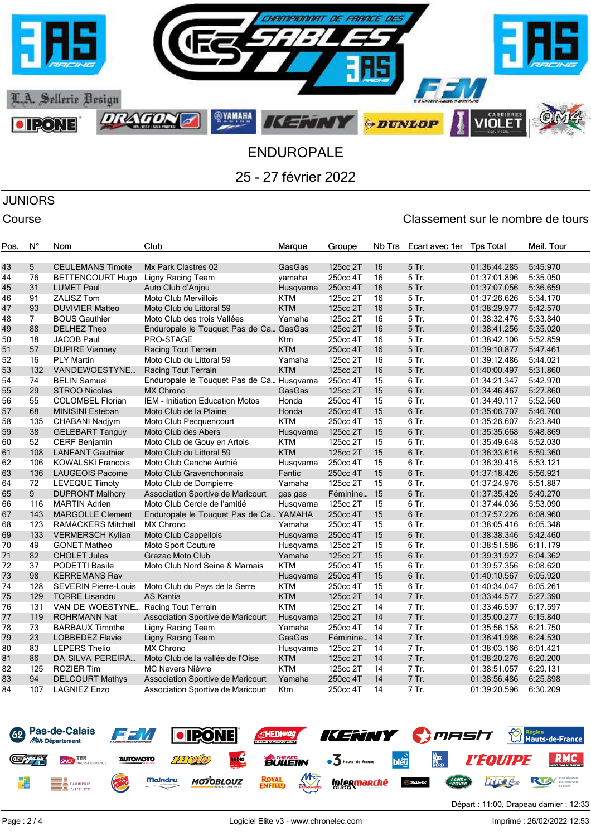

## JUNIORS

## Course Course Course Course Course Course Course Course Course Course Course Course Course Course Course Cours

| Pos. | Ν°              | <b>Nom</b>                          | Club                                      | Marque     | Groupe      | Nb Trs | Ecart avec 1er | <b>Tos Total</b> | Meil. Tour |
|------|-----------------|-------------------------------------|-------------------------------------------|------------|-------------|--------|----------------|------------------|------------|
|      |                 |                                     |                                           |            |             |        |                |                  |            |
| 43   | $5\phantom{.0}$ | <b>CEULEMANS Timote</b>             | Mx Park Clastres 02                       | GasGas     | 125cc 2T    | 16     | 5 Tr.          | 01:36:44.285     | 5:45.970   |
| 44   | 76              | <b>BETTENCOURT Hugo</b>             | Ligny Racing Team                         | yamaha     | 250cc 4T    | 16     | 5 Tr.          | 01:37:01.896     | 5:35.050   |
| 45   | 31              | <b>LUMET Paul</b>                   | Auto Club d'Anjou                         | Husqvarna  | 250cc 4T    | 16     | 5 Tr.          | 01:37:07.056     | 5:36.659   |
| 46   | 91              | <b>ZALISZ Tom</b>                   | Moto Club Mervillois                      | <b>KTM</b> | 125cc 2T    | 16     | 5 Tr.          | 01:37:26.626     | 5:34.170   |
| 47   | 93              | <b>DUVIVIER Matteo</b>              | Moto Club du Littoral 59                  | <b>KTM</b> | 125cc 2T    | 16     | 5 Tr.          | 01:38:29.977     | 5:42.570   |
| 48   | $\overline{7}$  | <b>BOUS Gauthier</b>                | Moto Club des trois Vallées               | Yamaha     | 125cc 2T    | 16     | 5 Tr.          | 01:38:32.476     | 5:33.840   |
| 49   | 88              | <b>DELHEZ Theo</b>                  | Enduropale le Touquet Pas de Ca GasGas    |            | 125cc 2T    | 16     | 5 Tr.          | 01:38:41.256     | 5:35.020   |
| 50   | 18              | <b>JACOB Paul</b>                   | PRO-STAGE                                 | Ktm        | 250cc 4T    | 16     | 5 Tr.          | 01:38:42.106     | 5:52.859   |
| 51   | 57              | <b>DUPIRE Vianney</b>               | Racing Tout Terrain                       | <b>KTM</b> | 250cc 4T    | 16     | 5 Tr.          | 01:39:10.877     | 5:47.461   |
| 52   | 16              | <b>PLY Martin</b>                   | Moto Club du Littoral 59                  | Yamaha     | 125cc 2T    | 16     | 5 Tr.          | 01:39:12.486     | 5:44.021   |
| 53   | 132             | VANDEWOESTYNE                       | Racing Tout Terrain                       | <b>KTM</b> | 125cc 2T    | 16     | 5 Tr.          | 01:40:00.497     | 5:31.860   |
| 54   | 74              | <b>BELIN Samuel</b>                 | Enduropale le Touquet Pas de Ca Husqvarna |            | 250cc 4T    | 15     | $6$ Tr.        | 01:34:21.347     | 5:42.970   |
| 55   | 29              | <b>STROO Nicolas</b>                | <b>MX Chrono</b>                          | GasGas     | 125cc 2T    | 15     | 6 Tr.          | 01:34:46.467     | 5:27.860   |
| 56   | 55              | <b>COLOMBEL Florian</b>             | <b>IEM - Initiation Education Motos</b>   | Honda      | 250cc 4T    | 15     | 6 Tr.          | 01:34:49.117     | 5:52.560   |
| 57   | 68              | <b>MINISINI Esteban</b>             | Moto Club de la Plaine                    | Honda      | 250cc 4T    | 15     | 6 Tr.          | 01:35:06.707     | 5:46.700   |
| 58   | 135             | CHABANI Nadjym                      | Moto Club Pecquencourt                    | <b>KTM</b> | 250cc 4T    | 15     | 6 Tr.          | 01:35:26.607     | 5:23.840   |
| 59   | 38              | <b>GELEBART Tanguy</b>              | Moto Club des Abers                       | Husgvarna  | 125cc 2T    | 15     | 6 Tr.          | 01:35:35.668     | 5:48.869   |
| 60   | 52              | CERF Benjamin                       | Moto Club de Gouy en Artois               | <b>KTM</b> | 125cc 2T    | 15     | 6 Tr.          | 01:35:49.648     | 5:52.030   |
| 61   | 108             | <b>LANFANT Gauthier</b>             | Moto Club du Littoral 59                  | <b>KTM</b> | 125cc 2T    | 15     | 6 Tr.          | 01:36:33.616     | 5:59.360   |
| 62   | 106             | <b>KOWALSKI Francois</b>            | Moto Club Canche Authié                   | Husqvarna  | 250cc 4T    | 15     | 6 Tr.          | 01:36:39.415     | 5:53.121   |
| 63   | 136             | <b>LAUGEOIS Pacome</b>              | Moto Club Gravenchonnais                  | Fantic     | 250cc 4T    | 15     | 6 Tr.          | 01:37:18.426     | 5:56.921   |
| 64   | 72              | <b>LEVEQUE Timoty</b>               | Moto Club de Dompierre                    | Yamaha     | 125cc 2T    | 15     | 6 Tr.          | 01:37:24.976     | 5:51.887   |
| 65   | 9               | <b>DUPRONT Malhory</b>              | Association Sportive de Maricourt         | gas gas    | Féminine 15 |        | 6 Tr.          | 01:37:35.426     | 5:49.270   |
| 66   | 116             | <b>MARTIN Adrien</b>                | Moto Club Cercle de l'amitié              | Husqvarna  | 125cc 2T    | 15     | 6 Tr.          | 01:37:44.036     | 5:53.090   |
| 67   | 143             | <b>MARGOLLE Clement</b>             | Enduropale le Touquet Pas de Ca YAMAHA    |            | 250cc 4T    | 15     | 6 Tr.          | 01:37:57.226     | 6:08.960   |
| 68   | 123             | <b>RAMACKERS Mitchell</b>           | <b>MX Chrono</b>                          | Yamaha     | 250cc 4T    | 15     | 6 Tr.          | 01:38:05.416     | 6:05.348   |
| 69   | 133             | <b>VERMERSCH Kylian</b>             | Moto Club Cappellois                      | Husqvarna  | 250cc 4T    | 15     | 6 Tr.          | 01:38:38.346     | 5:42.460   |
| 70   | 49              | <b>GONET Matheo</b>                 | Moto Sport Couture                        | Husqvarna  | 125cc 2T    | 15     | 6 Tr.          | 01:38:51.586     | 6:11.179   |
| 71   | 82              | <b>CHOLET Jules</b>                 | Grezac Moto Club                          | Yamaha     | 125cc 2T    | 15     | 6 Tr.          | 01:39:31.927     | 6:04.362   |
| 72   | 37              | PODETTI Basile                      | Moto Club Nord Seine & Marnais            | <b>KTM</b> | 250cc 4T    | 15     | 6 Tr.          | 01:39:57.356     | 6:08.620   |
| 73   | 98              | <b>KERREMANS Rav</b>                |                                           | Husqvarna  | 250cc 4T    | 15     | 6 Tr.          | 01:40:10.567     | 6:05.920   |
| 74   | 128             | <b>SEVERIN Pierre-Louis</b>         | Moto Club du Pays de la Serre             | <b>KTM</b> | 250cc 4T    | 15     | 6 Tr.          | 01:40:34.047     | 6:05.261   |
| 75   | 129             | <b>TORRE Lisandru</b>               | <b>AS Kantia</b>                          | <b>KTM</b> | 125cc 2T    | 14     | 7 Tr.          | 01:33:44.577     | 5:27.390   |
| 76   | 131             | VAN DE WOESTYNE Racing Tout Terrain |                                           | <b>KTM</b> | 125cc 2T    | 14     | 7 Tr.          | 01:33:46.597     | 6:17.597   |
| 77   | 119             | <b>ROHRMANN Nat</b>                 | Association Sportive de Maricourt         | Husqvarna  | 125cc 2T    | 14     | 7 Tr.          | 01:35:00.277     | 6:15.840   |
| 78   | 73              | <b>BARBAUX Timothe</b>              | Ligny Racing Team                         | Yamaha     | 250cc 4T    | 14     | 7 Tr.          | 01:35:56.158     | 6:21.750   |
| 79   | 23              | <b>LOBBEDEZ Flavie</b>              | Ligny Racing Team                         | GasGas     | Féminine 14 |        | 7 Tr.          | 01:36:41.986     | 6:24.530   |
| 80   | 83              | <b>LEPERS Thelio</b>                | <b>MX Chrono</b>                          | Husqvarna  | 125cc 2T    | 14     | 7 Tr.          | 01:38:03.166     | 6:01.421   |
| 81   | 86              | DA SILVA PEREIRA                    | Moto Club de la vallée de l'Oise          | <b>KTM</b> | 125cc 2T    | 14     | 7 Tr.          | 01:38:20.276     | 6:20.200   |
| 82   | 125             | <b>ROZIER Tim</b>                   | <b>MC Nevers Nièvre</b>                   | <b>KTM</b> | 125cc 2T    | 14     | 7 Tr.          | 01:38:51.057     | 6:29.131   |
| 83   | 94              | <b>DELCOURT Mathys</b>              | Association Sportive de Maricourt         | Yamaha     | 250cc 4T    | 14     | 7 Tr.          | 01:38:56.486     | 6:25.898   |
| 84   | 107             | <b>LAGNIEZ Enzo</b>                 | Association Sportive de Maricourt         | Ktm        | 250cc 4T    | 14     | 7 Tr.          | 01:39:20.596     | 6:30.209   |
|      |                 |                                     |                                           |            |             |        |                |                  |            |



Départ : 11:00, Drapeau damier : 12:33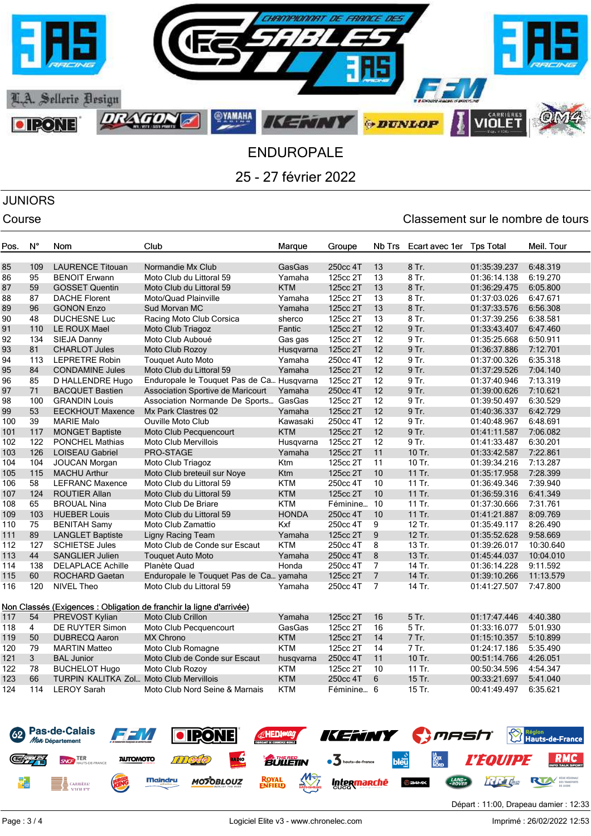

# JUNIORS

## Course Course Course Course Course Course Course Course Course Course Course Course Course Course Course Cours

| Pos.     | N°           | Nom                                           | Club                                                                | Marque           | Groupe     | <b>Nb Trs</b>           | Ecart avec 1er | <b>Tps Total</b>             | Meil. Tour           |
|----------|--------------|-----------------------------------------------|---------------------------------------------------------------------|------------------|------------|-------------------------|----------------|------------------------------|----------------------|
| 85       | 109          | <b>LAURENCE Titouan</b>                       | Normandie Mx Club                                                   | GasGas           | 250cc 4T   | 13                      | 8 Tr.          | 01:35:39.237                 | 6:48.319             |
| 86       | 95           | <b>BENOIT Erwann</b>                          | Moto Club du Littoral 59                                            | Yamaha           | 125cc 2T   | 13                      | $8$ Tr.        | 01:36:14.138                 | 6:19.270             |
| 87       | 59           | <b>GOSSET Quentin</b>                         | Moto Club du Littoral 59                                            | <b>KTM</b>       | 125cc 2T   | 13                      | 8 Tr.          | 01:36:29.475                 | 6:05.800             |
| 88       | 87           | <b>DACHE Florent</b>                          | Moto/Quad Plainville                                                | Yamaha           | 125cc 2T   | 13                      | 8 Tr.          | 01:37:03.026                 | 6:47.671             |
| 89       | 96           | <b>GONON Enzo</b>                             | Sud Morvan MC                                                       |                  | 125cc 2T   | 13                      | 8 Tr.          | 01:37:33.576                 | 6:56.308             |
| 90       | 48           | <b>DUCHESNE Luc</b>                           |                                                                     | Yamaha           | 125cc 2T   | 13                      | 8 Tr.          | 01:37:39.256                 | 6:38.581             |
| 91       | 110          | LE ROUX Mael                                  | Racing Moto Club Corsica<br>Moto Club Triagoz                       | sherco<br>Fantic | 125cc 2T   | 12                      | 9 Tr.          | 01:33:43.407                 | 6:47.460             |
|          |              |                                               |                                                                     |                  |            |                         |                |                              |                      |
| 92       | 134<br>81    | SIEJA Danny                                   | Moto Club Auboué                                                    | Gas gas          | 125cc 2T   | $12 \overline{ }$<br>12 | 9 Tr.<br>9 Tr. | 01:35:25.668                 | 6:50.911             |
| 93<br>94 | 113          | <b>CHARLOT Jules</b><br><b>LEPRETRE Robin</b> | Moto Club Rozoy                                                     | Husqvarna        | 125cc 2T   | 12                      | 9 Tr.          | 01:36:37.886<br>01:37:00.326 | 7:12.701<br>6:35.318 |
|          |              |                                               | <b>Touquet Auto Moto</b>                                            | Yamaha           | 250cc 4T   |                         |                |                              |                      |
| 95       | 84           | <b>CONDAMINE Jules</b>                        | Moto Club du Littoral 59                                            | Yamaha           | 125cc 2T   | 12                      | 9 Tr.          | 01:37:29.526                 | 7:04.140             |
| 96       | 85           | D HALLENDRE Hugo                              | Enduropale le Touquet Pas de Ca Husqvarna                           |                  | 125cc 2T   | 12                      | 9 Tr.          | 01:37:40.946                 | 7:13.319             |
| 97       | 71           | <b>BACQUET Bastien</b>                        | Association Sportive de Maricourt                                   | Yamaha           | 250cc 4T   | 12                      | 9 Tr.          | 01:39:00.626                 | 7:10.621             |
| 98       | 100          | <b>GRANDIN Louis</b>                          | Association Normande De Sports GasGas                               |                  | 125cc 2T   | 12                      | 9 Tr.          | 01:39:50.497                 | 6:30.529             |
| 99       | 53           | <b>EECKHOUT Maxence</b>                       | Mx Park Clastres 02                                                 | Yamaha           | 125cc 2T   | 12                      | 9 Tr.          | 01:40:36.337                 | 6:42.729             |
| 100      | 39           | <b>MARIE Malo</b>                             | <b>Ouville Moto Club</b>                                            | Kawasaki         | 250cc 4T   | 12                      | 9 Tr.          | 01:40:48.967                 | 6:48.691             |
| 101      | 117          | <b>MONGET Baptiste</b>                        | Moto Club Pecquencourt                                              | <b>KTM</b>       | 125cc 2T   | 12                      | 9 Tr.          | 01:41:11.587                 | 7:06.082             |
| 102      | 122          | <b>PONCHEL Mathias</b>                        | Moto Club Mervillois                                                | Husqvarna        | 125cc 2T   | 12                      | 9 Tr.          | 01:41:33.487                 | 6:30.201             |
| 103      | 126          | <b>LOISEAU Gabriel</b>                        | PRO-STAGE                                                           | Yamaha           | 125cc 2T   | 11                      | 10 Tr.         | 01:33:42.587                 | 7:22.861             |
| 104      | 104          | JOUCAN Morgan                                 | Moto Club Triagoz                                                   | Ktm              | 125cc 2T   | 11                      | 10 Tr.         | 01:39:34.216                 | 7:13.287             |
| 105      | 115          | <b>MACHU Arthur</b>                           | Moto Club breteuil sur Noye                                         | Ktm              | 125cc 2T   | 10                      | 11 Tr.         | 01:35:17.958                 | 7:28.399             |
| 106      | 58           | <b>LEFRANC Maxence</b>                        | Moto Club du Littoral 59                                            | <b>KTM</b>       | 250cc 4T   | 10                      | 11 Tr.         | 01:36:49.346                 | 7:39.940             |
| 107      | 124          | <b>ROUTIER Allan</b>                          | Moto Club du Littoral 59                                            | <b>KTM</b>       | 125cc 2T   | 10                      | 11 Tr.         | 01:36:59.316                 | 6:41.349             |
| 108      | 65           | <b>BROUAL Nina</b>                            | Moto Club De Briare                                                 | <b>KTM</b>       | Féminine   | 10                      | 11 Tr.         | 01:37:30.666                 | 7:31.761             |
| 109      | 103          | <b>HUEBER Louis</b>                           | Moto Club du Littoral 59                                            | <b>HONDA</b>     | 250cc 4T   | 10                      | 11 Tr.         | 01:41:21.887                 | 8:09.769             |
| 110      | 75           | <b>BENITAH Samy</b>                           | Moto Club Zamattio                                                  | Kxf              | 250cc 4T   | 9                       | 12 Tr.         | 01:35:49.117                 | 8:26.490             |
| 111      | 89           | <b>LANGLET Baptiste</b>                       | Ligny Racing Team                                                   | Yamaha           | 125cc 2T   | $\boldsymbol{9}$        | 12 Tr.         | 01:35:52.628                 | 9:58.669             |
| 112      | 127          | <b>SCHIETSE Jules</b>                         | Moto Club de Conde sur Escaut                                       | <b>KTM</b>       | 250cc 4T   | 8                       | 13 Tr.         | 01:39:26.017                 | 10:30.640            |
| 113      | 44           | <b>SANGLIER Julien</b>                        | <b>Touquet Auto Moto</b>                                            | Yamaha           | 250cc 4T   | 8                       | 13 Tr.         | 01:45:44.037                 | 10:04.010            |
| 114      | 138          | <b>DELAPLACE Achille</b>                      | Planète Quad                                                        | Honda            | 250cc 4T   | 7                       | 14 Tr.         | 01:36:14.228                 | 9:11.592             |
| 115      | 60           | <b>ROCHARD Gaetan</b>                         | Enduropale le Touquet Pas de Ca yamaha                              |                  | 125cc 2T   | $\overline{7}$          | 14 Tr.         | 01:39:10.266                 | 11:13.579            |
| 116      | 120          | <b>NIVEL Theo</b>                             | Moto Club du Littoral 59                                            | Yamaha           | 250cc 4T   | $\overline{7}$          | 14 Tr.         | 01:41:27.507                 | 7:47.800             |
|          |              |                                               | Non Classés (Exigences : Obligation de franchir la ligne d'arrivée) |                  |            |                         |                |                              |                      |
| 117      | 54           | PREVOST Kylian                                | <b>Moto Club Crillon</b>                                            | Yamaha           | 125cc 2T   | 16                      | 5 Tr.          | 01:17:47.446                 | 4:40.380             |
| 118      | 4            | <b>DE RUYTER Simon</b>                        | Moto Club Pecquencourt                                              | GasGas           | 125cc 2T   | 16                      | 5 Tr.          | 01:33:16.077                 | 5:01.930             |
| 119      | 50           | <b>DUBRECQ Aaron</b>                          | <b>MX Chrono</b>                                                    | <b>KTM</b>       | 125cc 2T   | 14                      | 7 Tr.          | 01:15:10.357                 | 5:10.899             |
| 120      | 79           | <b>MARTIN Matteo</b>                          | Moto Club Romagne                                                   | <b>KTM</b>       | 125cc 2T   | 14                      | 7 Tr.          | 01:24:17.186                 | 5:35.490             |
| 121      | $\mathbf{3}$ | <b>BAL Junior</b>                             | Moto Club de Conde sur Escaut                                       | husqvarna        | 250cc 4T   | 11                      | 10 Tr.         | 00:51:14.766                 | 4:26.051             |
| 122      | 78           | <b>BUCHELOT Hugo</b>                          | Moto Club Rozoy                                                     | <b>KTM</b>       | 125cc 2T   | 10                      | 11 Tr.         | 00:50:34.596                 | 4:54.347             |
| 123      | 66           | TURPIN KALITKA Zol., Moto Club Mervillois     |                                                                     | <b>KTM</b>       | 250cc 4T   | 6                       | 15 Tr.         | 00:33:21.697                 | 5:41.040             |
| 124      | 114          | <b>LEROY Sarah</b>                            | Moto Club Nord Seine & Marnais                                      | <b>KTM</b>       | Féminine 6 |                         | 15 Tr.         | 00:41:49.497                 | 6:35.621             |